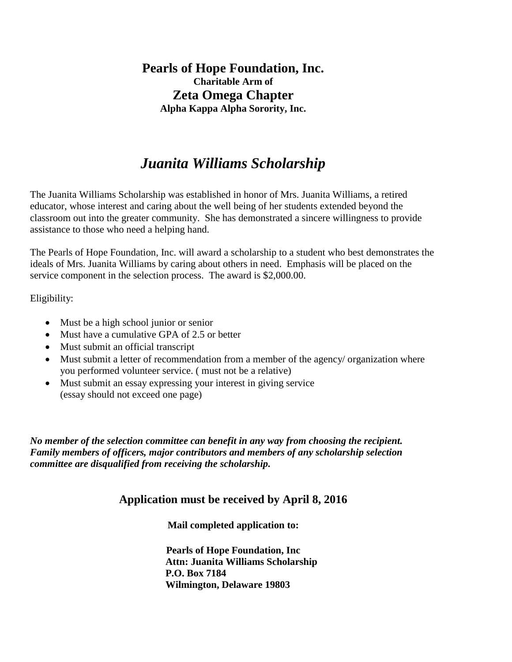### **Pearls of Hope Foundation, Inc. Charitable Arm of Zeta Omega Chapter Alpha Kappa Alpha Sorority, Inc.**

## *Juanita Williams Scholarship*

The Juanita Williams Scholarship was established in honor of Mrs. Juanita Williams, a retired educator, whose interest and caring about the well being of her students extended beyond the classroom out into the greater community. She has demonstrated a sincere willingness to provide assistance to those who need a helping hand.

The Pearls of Hope Foundation, Inc. will award a scholarship to a student who best demonstrates the ideals of Mrs. Juanita Williams by caring about others in need. Emphasis will be placed on the service component in the selection process. The award is \$2,000.00.

Eligibility:

- Must be a high school junior or senior
- Must have a cumulative GPA of 2.5 or better
- Must submit an official transcript
- Must submit a letter of recommendation from a member of the agency/ organization where you performed volunteer service. ( must not be a relative)
- Must submit an essay expressing your interest in giving service (essay should not exceed one page)

*No member of the selection committee can benefit in any way from choosing the recipient. Family members of officers, major contributors and members of any scholarship selection committee are disqualified from receiving the scholarship.*

#### **Application must be received by April 8, 2016**

**Mail completed application to:**

**Pearls of Hope Foundation, Inc Attn: Juanita Williams Scholarship P.O. Box 7184 Wilmington, Delaware 19803**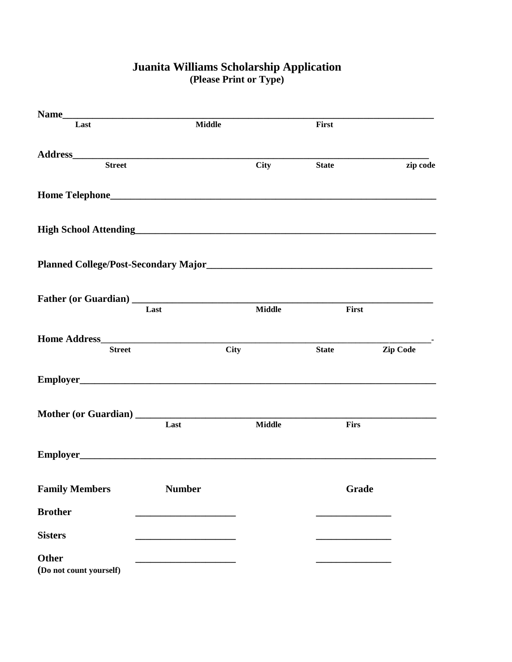| Name                                    |                               |               |              |          |
|-----------------------------------------|-------------------------------|---------------|--------------|----------|
| Last                                    | <b>Middle</b>                 |               | First        |          |
|                                         |                               |               |              |          |
| <b>Street</b>                           |                               | <b>City</b>   | <b>State</b> | zip code |
|                                         |                               |               |              |          |
|                                         |                               |               |              |          |
|                                         |                               |               |              |          |
|                                         | Last                          | <b>Middle</b> | First        |          |
| <b>Street</b>                           |                               | <b>City</b>   | <b>State</b> | Zip Code |
|                                         |                               |               |              |          |
|                                         | Last                          | <b>Middle</b> | Firs         |          |
|                                         |                               |               |              |          |
| <b>Family Members</b>                   | <b>Number</b><br><b>Grade</b> |               |              |          |
| <b>Brother</b>                          |                               |               |              |          |
| <b>Sisters</b>                          |                               |               |              |          |
| <b>Other</b><br>(Do not count yourself) |                               |               |              |          |

#### **Juanita Williams Scholarship Application (Please Print or Type)**